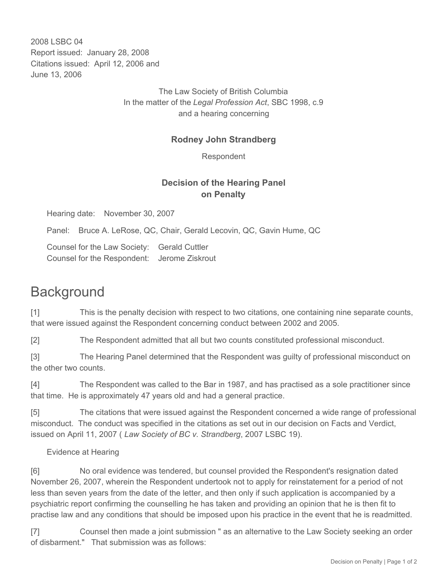2008 LSBC 04 Report issued: January 28, 2008 Citations issued: April 12, 2006 and June 13, 2006

> The Law Society of British Columbia In the matter of the *Legal Profession Act*, SBC 1998, c.9 and a hearing concerning

#### **Rodney John Strandberg**

Respondent

### **Decision of the Hearing Panel on Penalty**

Hearing date: November 30, 2007

Panel: Bruce A. LeRose, QC, Chair, Gerald Lecovin, QC, Gavin Hume, QC

Counsel for the Law Society: Gerald Cuttler Counsel for the Respondent: Jerome Ziskrout

## **Background**

[1] This is the penalty decision with respect to two citations, one containing nine separate counts, that were issued against the Respondent concerning conduct between 2002 and 2005.

[2] The Respondent admitted that all but two counts constituted professional misconduct.

[3] The Hearing Panel determined that the Respondent was guilty of professional misconduct on the other two counts.

[4] The Respondent was called to the Bar in 1987, and has practised as a sole practitioner since that time. He is approximately 47 years old and had a general practice.

[5] The citations that were issued against the Respondent concerned a wide range of professional misconduct. The conduct was specified in the citations as set out in our decision on Facts and Verdict, issued on April 11, 2007 ( *Law Society of BC v. Strandberg*, 2007 LSBC 19).

#### Evidence at Hearing

[6] No oral evidence was tendered, but counsel provided the Respondent's resignation dated November 26, 2007, wherein the Respondent undertook not to apply for reinstatement for a period of not less than seven years from the date of the letter, and then only if such application is accompanied by a psychiatric report confirming the counselling he has taken and providing an opinion that he is then fit to practise law and any conditions that should be imposed upon his practice in the event that he is readmitted.

[7] Counsel then made a joint submission " as an alternative to the Law Society seeking an order of disbarment." That submission was as follows: